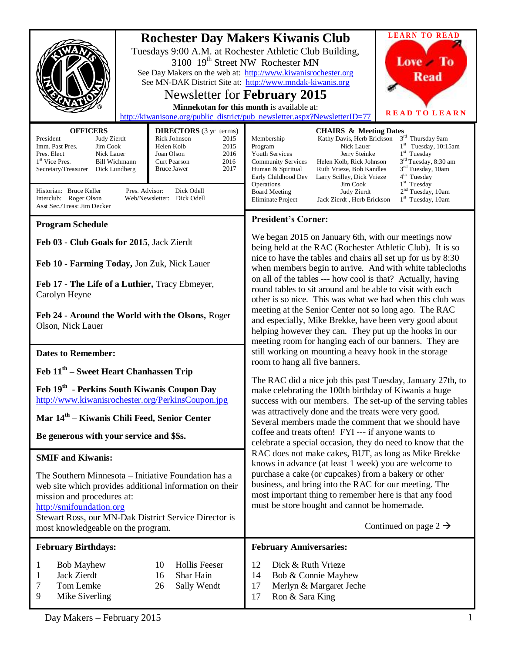| <b>OFFICERS</b><br><b>DIRECTORS</b> (3 yr terms)<br>Rick Johnson<br>President<br>Judy Zierdt<br>2015<br>Imm. Past Pres.<br>Jim Cook<br>Helen Kolb<br>2015<br>Pres. Elect<br>Nick Lauer<br>Joan Olson<br>2016<br>2016<br>1 <sup>st</sup> Vice Pres.<br><b>Bill Wichmann</b><br>Curt Pearson<br><b>Bruce Jawer</b><br>2017<br>Secretary/Treasurer<br>Dick Lundberg | <b>LEARN TO READ</b><br><b>Rochester Day Makers Kiwanis Club</b><br>Tuesdays 9:00 A.M. at Rochester Athletic Club Building,<br>Love To<br>3100 19 <sup>th</sup> Street NW Rochester MN<br>See Day Makers on the web at: http://www.kiwanisrochester.org<br><b>Read</b><br>See MN-DAK District Site at: http://www.mndak-kiwanis.org<br>Newsletter for February 2015<br>Minnekotan for this month is available at:<br><b>READ TO LEARN</b><br>http://kiwanisone.org/public_district/pub_newsletter.aspx?NewsletterID=77<br><b>CHAIRS &amp; Meeting Dates</b><br>3rd Thursday 9am<br>Kathy Davis, Herb Erickson<br>Membership<br>$1st$ Tuesday, 10:15am<br>Nick Lauer<br>Program<br>1 <sup>st</sup> Tuesday<br>Youth Services<br>Jerry Steinke<br>3 <sup>rd</sup> Tuesday, 8:30 am<br><b>Community Services</b><br>Helen Kolb, Rick Johnson<br>3 <sup>nd</sup> Tuesday, 10am<br>Ruth Vrieze, Bob Kandles<br>Human & Spiritual<br>4 <sup>th</sup> Tuesday<br>Early Childhood Dev<br>Larry Scilley, Dick Vrieze |
|------------------------------------------------------------------------------------------------------------------------------------------------------------------------------------------------------------------------------------------------------------------------------------------------------------------------------------------------------------------|-------------------------------------------------------------------------------------------------------------------------------------------------------------------------------------------------------------------------------------------------------------------------------------------------------------------------------------------------------------------------------------------------------------------------------------------------------------------------------------------------------------------------------------------------------------------------------------------------------------------------------------------------------------------------------------------------------------------------------------------------------------------------------------------------------------------------------------------------------------------------------------------------------------------------------------------------------------------------------------------------------------|
| Pres. Advisor:<br>Historian: Bruce Keller<br>Dick Odell<br>Interclub: Roger Olson<br>Web/Newsletter: Dick Odell<br>Asst Sec./Treas: Jim Decker                                                                                                                                                                                                                   | 1 <sup>st</sup> Tuesday<br>Operations<br>Jim Cook<br>2 <sup>nd</sup> Tuesday, 10am<br><b>Board Meeting</b><br>Judy Zierdt<br>$1st$ Tuesday, 10am<br><b>Eliminate Project</b><br>Jack Zierdt, Herb Erickson                                                                                                                                                                                                                                                                                                                                                                                                                                                                                                                                                                                                                                                                                                                                                                                                  |
| <b>Program Schedule</b>                                                                                                                                                                                                                                                                                                                                          | <b>President's Corner:</b>                                                                                                                                                                                                                                                                                                                                                                                                                                                                                                                                                                                                                                                                                                                                                                                                                                                                                                                                                                                  |
| Feb 03 - Club Goals for 2015, Jack Zierdt                                                                                                                                                                                                                                                                                                                        | We began 2015 on January 6th, with our meetings now<br>being held at the RAC (Rochester Athletic Club). It is so                                                                                                                                                                                                                                                                                                                                                                                                                                                                                                                                                                                                                                                                                                                                                                                                                                                                                            |
| Feb 10 - Farming Today, Jon Zuk, Nick Lauer                                                                                                                                                                                                                                                                                                                      | nice to have the tables and chairs all set up for us by 8:30<br>when members begin to arrive. And with white tablecloths                                                                                                                                                                                                                                                                                                                                                                                                                                                                                                                                                                                                                                                                                                                                                                                                                                                                                    |
| Feb 17 - The Life of a Luthier, Tracy Ebmeyer,<br>Carolyn Heyne<br>Feb 24 - Around the World with the Olsons, Roger<br>Olson, Nick Lauer                                                                                                                                                                                                                         | on all of the tables --- how cool is that? Actually, having<br>round tables to sit around and be able to visit with each<br>other is so nice. This was what we had when this club was<br>meeting at the Senior Center not so long ago. The RAC<br>and especially, Mike Brekke, have been very good about<br>helping however they can. They put up the hooks in our<br>meeting room for hanging each of our banners. They are                                                                                                                                                                                                                                                                                                                                                                                                                                                                                                                                                                                |
| <b>Dates to Remember:</b>                                                                                                                                                                                                                                                                                                                                        | still working on mounting a heavy hook in the storage                                                                                                                                                                                                                                                                                                                                                                                                                                                                                                                                                                                                                                                                                                                                                                                                                                                                                                                                                       |
| Feb $11th$ – Sweet Heart Chanhassen Trip<br>Feb 19th - Perkins South Kiwanis Coupon Day<br>http://www.kiwanisrochester.org/PerkinsCoupon.jpg<br>Mar 14 <sup>th</sup> – Kiwanis Chili Feed, Senior Center<br>Be generous with your service and \$\$s.                                                                                                             | room to hang all five banners.<br>The RAC did a nice job this past Tuesday, January 27th, to<br>make celebrating the 100th birthday of Kiwanis a huge<br>success with our members. The set-up of the serving tables<br>was attractively done and the treats were very good.<br>Several members made the comment that we should have<br>coffee and treats often! FYI --- if anyone wants to<br>celebrate a special occasion, they do need to know that the<br>RAC does not make cakes, BUT, as long as Mike Brekke<br>knows in advance (at least 1 week) you are welcome to<br>purchase a cake (or cupcakes) from a bakery or other<br>business, and bring into the RAC for our meeting. The<br>most important thing to remember here is that any food<br>must be store bought and cannot be homemade.<br>Continued on page 2 $\rightarrow$                                                                                                                                                                  |
| <b>SMIF and Kiwanis:</b><br>The Southern Minnesota – Initiative Foundation has a<br>web site which provides additional information on their<br>mission and procedures at:<br>http://smifoundation.org<br>Stewart Ross, our MN-Dak District Service Director is<br>most knowledgeable on the program.                                                             |                                                                                                                                                                                                                                                                                                                                                                                                                                                                                                                                                                                                                                                                                                                                                                                                                                                                                                                                                                                                             |
| <b>February Birthdays:</b>                                                                                                                                                                                                                                                                                                                                       | <b>February Anniversaries:</b>                                                                                                                                                                                                                                                                                                                                                                                                                                                                                                                                                                                                                                                                                                                                                                                                                                                                                                                                                                              |
| <b>Hollis Feeser</b><br><b>Bob Mayhew</b><br>10<br>1<br>Jack Zierdt<br>16<br>Shar Hain<br>1<br>Tom Lemke<br>7<br>Sally Wendt<br>26<br>9<br>Mike Siverling                                                                                                                                                                                                        | 12<br>Dick & Ruth Vrieze<br>14<br>Bob & Connie Mayhew<br>17<br>Merlyn & Margaret Jeche<br>17<br>Ron & Sara King                                                                                                                                                                                                                                                                                                                                                                                                                                                                                                                                                                                                                                                                                                                                                                                                                                                                                             |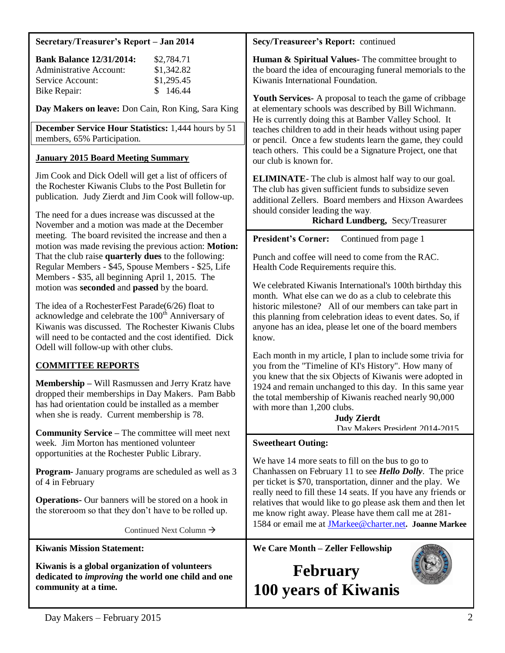#### **Secretary/Treasurer's Report – Jan 2014**

| <b>Bank Balance 12/31/2014:</b> | \$2,784.71 |
|---------------------------------|------------|
| Administrative Account:         | \$1,342.82 |
| Service Account:                | \$1,295.45 |
| Bike Repair:                    | \$146.44   |

**Day Makers on leave:** Don Cain, Ron King, Sara King

**December Service Hour Statistics:** 1,444 hours by 51 members, 65% Participation.

#### **January 2015 Board Meeting Summary**

Jim Cook and Dick Odell will get a list of officers of the Rochester Kiwanis Clubs to the Post Bulletin for publication. Judy Zierdt and Jim Cook will follow-up.

The need for a dues increase was discussed at the November and a motion was made at the December meeting. The board revisited the increase and then a motion was made revising the previous action: **Motion:**  That the club raise **quarterly dues** to the following: Regular Members - \$45, Spouse Members - \$25, Life Members - \$35, all beginning April 1, 2015. The motion was **seconded** and **passed** by the board.

The idea of a RochesterFest Parade(6/26) float to acknowledge and celebrate the  $100<sup>th</sup>$  Anniversary of Kiwanis was discussed. The Rochester Kiwanis Clubs will need to be contacted and the cost identified. Dick Odell will follow-up with other clubs.

## **COMMITTEE REPORTS**

**Membership –** Will Rasmussen and Jerry Kratz have dropped their memberships in Day Makers. Pam Babb has had orientation could be installed as a member when she is ready. Current membership is 78.

**Community Service –** The committee will meet next week. Jim Morton has mentioned volunteer opportunities at the Rochester Public Library.

**Program-** January programs are scheduled as well as 3 of 4 in February

**Operations-** Our banners will be stored on a hook in the storeroom so that they don't have to be rolled up.

Continued Next Column

**Kiwanis Mission Statement:**

**Kiwanis is a global organization of volunteers dedicated to** *improving* **the world one child and one community at a time.**

#### **Secy/Treasureer's Report:** continued

**Human & Spiritual Values-** The committee brought to the board the idea of encouraging funeral memorials to the Kiwanis International Foundation.

**Youth Services-** A proposal to teach the game of cribbage at elementary schools was described by Bill Wichmann. He is currently doing this at Bamber Valley School. It teaches children to add in their heads without using paper or pencil. Once a few students learn the game, they could teach others. This could be a Signature Project, one that our club is known for.

**ELIMINATE**- The club is almost half way to our goal. The club has given sufficient funds to subsidize seven additional Zellers. Board members and Hixson Awardees should consider leading the way.

**Richard Lundberg,** Secy/Treasurer

**President's Corner:** Continued from page 1

Punch and coffee will need to come from the RAC. Health Code Requirements require this.

We celebrated Kiwanis International's 100th birthday this month. What else can we do as a club to celebrate this historic milestone? All of our members can take part in this planning from celebration ideas to event dates. So, if anyone has an idea, please let one of the board members know.

Each month in my article, I plan to include some trivia for you from the "Timeline of KI's History". How many of you knew that the six Objects of Kiwanis were adopted in 1924 and remain unchanged to this day. In this same year the total membership of Kiwanis reached nearly 90,000 with more than 1,200 clubs.

> **Judy Zierdt** Day Makers President 2014-2015

#### **Sweetheart Outing:**

We have 14 more seats to fill on the bus to go to Chanhassen on February 11 to see *Hello Dolly*. The price per ticket is \$70, transportation, dinner and the play. We really need to fill these 14 seats. If you have any friends or relatives that would like to go please ask them and then let me know right away. Please have them call me at 281- 1584 or email me at [JMarkee@charter.net](mailto:JMarkee@charter.net)**. Joanne Markee**

**We Care Month – Zeller Fellowship**

## **February 100 years of Kiwanis**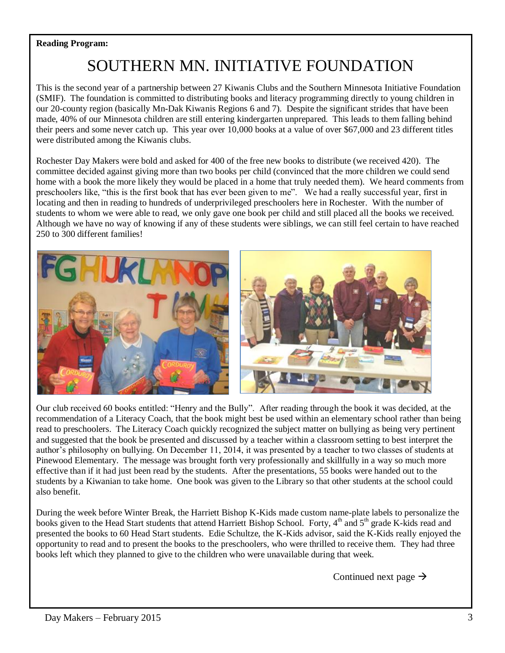### **Reading Program:**

# SOUTHERN MN. INITIATIVE FOUNDATION

This is the second year of a partnership between 27 Kiwanis Clubs and the Southern Minnesota Initiative Foundation (SMIF). The foundation is committed to distributing books and literacy programming directly to young children in our 20-county region (basically Mn-Dak Kiwanis Regions 6 and 7). Despite the significant strides that have been made, 40% of our Minnesota children are still entering kindergarten unprepared. This leads to them falling behind their peers and some never catch up. This year over 10,000 books at a value of over \$67,000 and 23 different titles were distributed among the Kiwanis clubs.

Rochester Day Makers were bold and asked for 400 of the free new books to distribute (we received 420). The committee decided against giving more than two books per child (convinced that the more children we could send home with a book the more likely they would be placed in a home that truly needed them). We heard comments from preschoolers like, "this is the first book that has ever been given to me". We had a really successful year, first in locating and then in reading to hundreds of underprivileged preschoolers here in Rochester. With the number of students to whom we were able to read, we only gave one book per child and still placed all the books we received. Although we have no way of knowing if any of these students were siblings, we can still feel certain to have reached 250 to 300 different families!



Our club received 60 books entitled: "Henry and the Bully". After reading through the book it was decided, at the recommendation of a Literacy Coach, that the book might best be used within an elementary school rather than being read to preschoolers. The Literacy Coach quickly recognized the subject matter on bullying as being very pertinent and suggested that the book be presented and discussed by a teacher within a classroom setting to best interpret the author's philosophy on bullying. On December 11, 2014, it was presented by a teacher to two classes of students at Pinewood Elementary. The message was brought forth very professionally and skillfully in a way so much more effective than if it had just been read by the students. After the presentations, 55 books were handed out to the students by a Kiwanian to take home. One book was given to the Library so that other students at the school could also benefit.

During the week before Winter Break, the Harriett Bishop K-Kids made custom name-plate labels to personalize the books given to the Head Start students that attend Harriett Bishop School. Forty, 4<sup>th</sup> and 5<sup>th</sup> grade K-kids read and presented the books to 60 Head Start students. Edie Schultze, the K-Kids advisor, said the K-Kids really enjoyed the opportunity to read and to present the books to the preschoolers, who were thrilled to receive them. They had three books left which they planned to give to the children who were unavailable during that week.

Continued next page  $\rightarrow$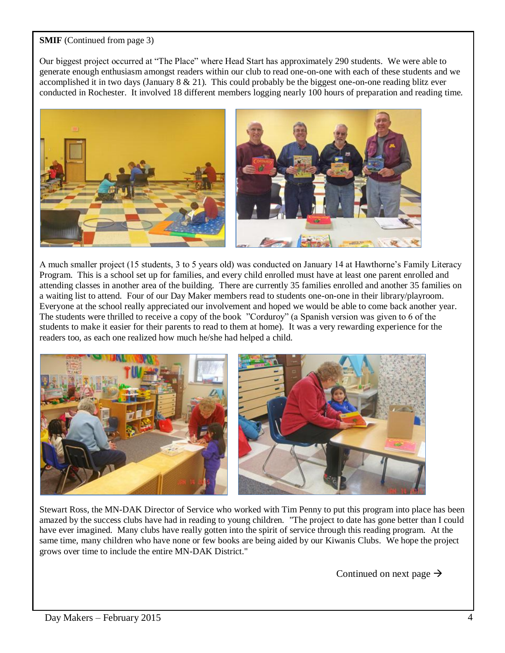#### **SMIF** (Continued from page 3)

Our biggest project occurred at "The Place" where Head Start has approximately 290 students. We were able to generate enough enthusiasm amongst readers within our club to read one-on-one with each of these students and we accomplished it in two days (January 8 & 21). This could probably be the biggest one-on-one reading blitz ever conducted in Rochester. It involved 18 different members logging nearly 100 hours of preparation and reading time.



A much smaller project (15 students, 3 to 5 years old) was conducted on January 14 at Hawthorne's Family Literacy Program. This is a school set up for families, and every child enrolled must have at least one parent enrolled and attending classes in another area of the building. There are currently 35 families enrolled and another 35 families on a waiting list to attend. Four of our Day Maker members read to students one-on-one in their library/playroom. Everyone at the school really appreciated our involvement and hoped we would be able to come back another year. The students were thrilled to receive a copy of the book "Corduroy" (a Spanish version was given to 6 of the students to make it easier for their parents to read to them at home). It was a very rewarding experience for the readers too, as each one realized how much he/she had helped a child.



Stewart Ross, the MN-DAK Director of Service who worked with Tim Penny to put this program into place has been amazed by the success clubs have had in reading to young children. "The project to date has gone better than I could have ever imagined. Many clubs have really gotten into the spirit of service through this reading program. At the same time, many children who have none or few books are being aided by our Kiwanis Clubs. We hope the project grows over time to include the entire MN-DAK District."

Continued on next page  $\rightarrow$